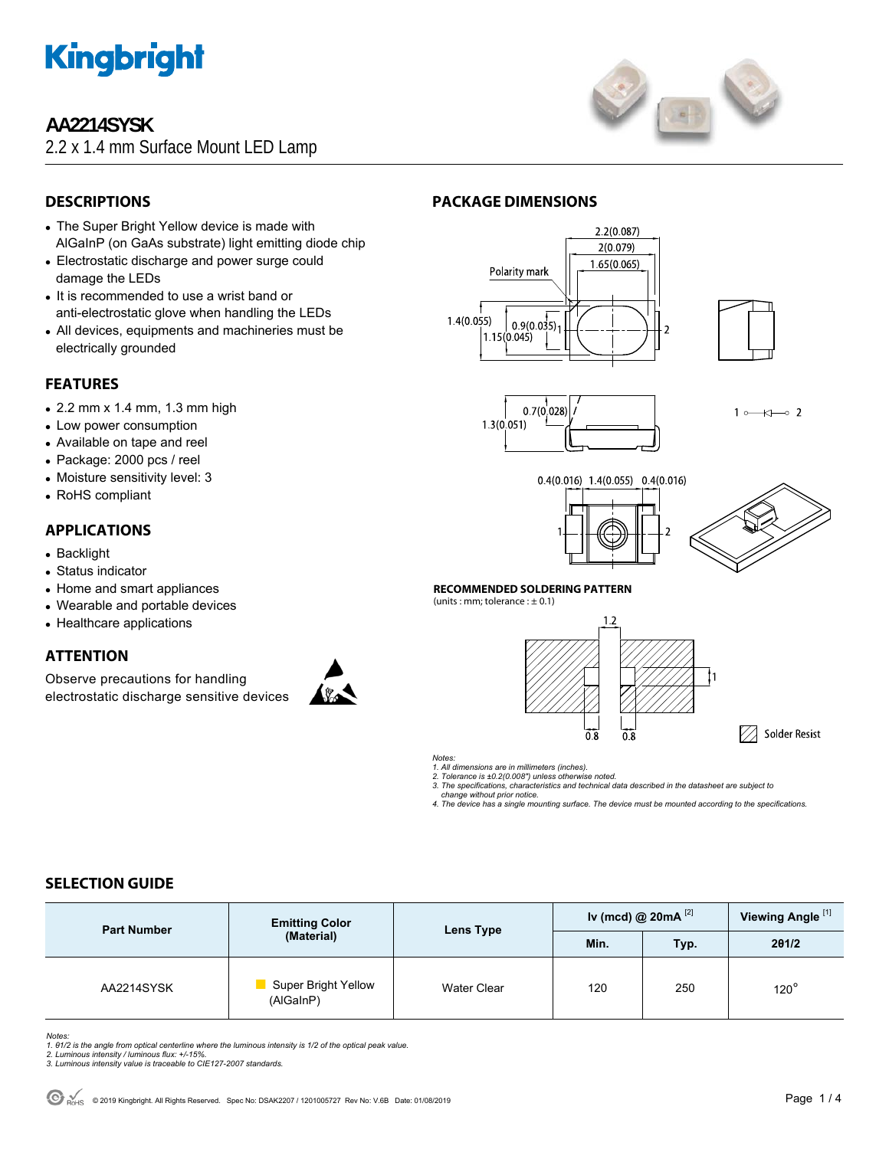

# **AA2214SYSK**

2.2 x 1.4 mm Surface Mount LED Lamp



# **DESCRIPTIONS**

- The Super Bright Yellow device is made with AlGaInP (on GaAs substrate) light emitting diode chip
- Electrostatic discharge and power surge could damage the LEDs
- It is recommended to use a wrist band or anti-electrostatic glove when handling the LEDs
- All devices, equipments and machineries must be electrically grounded

# **FEATURES**

- $\bullet$  2.2 mm x 1.4 mm, 1.3 mm high
- Low power consumption
- Available on tape and reel
- Package: 2000 pcs / reel
- Moisture sensitivity level: 3
- RoHS compliant

## **APPLICATIONS**

- Backlight
- Status indicator
- Home and smart appliances
- Wearable and portable devices
- Healthcare applications

# **ATTENTION**

Observe precautions for handling electrostatic discharge sensitive devices



# **PACKAGE DIMENSIONS**







 $\overline{\mathbf{r}}$  $\sim$  2  $1<sub>c</sub>$ 





#### **RECOMMENDED SOLDERING PATTERN**

(units : mm; tolerance  $: \pm 0.1$ )





*Notes:* 

*1. All dimensions are in millimeters (inches).* 

*2. Tolerance is ±0.2(0.008") unless otherwise noted.* 

*3. The specifications, characteristics and technical data described in the datasheet are subject to change without prior notice.* 

*4. The device has a single mounting surface. The device must be mounted according to the specifications.* 

# **SELECTION GUIDE**

| <b>Part Number</b> | <b>Emitting Color</b><br>(Material) | Lens Type   | Iv (mcd) @ $20mA$ <sup>[2]</sup> |      | Viewing Angle <sup>[1]</sup> |
|--------------------|-------------------------------------|-------------|----------------------------------|------|------------------------------|
|                    |                                     |             | Min.                             | Typ. | 201/2                        |
| AA2214SYSK         | Super Bright Yellow<br>(AlGaInP)    | Water Clear | 120                              | 250  | $120^\circ$                  |

*Notes:* 

*1. θ1/2 is the angle from optical centerline where the luminous intensity is 1/2 of the optical peak value. 2. Luminous intensity / luminous flux: +/-15%.* 

*3. Luminous intensity value is traceable to CIE127-2007 standards.*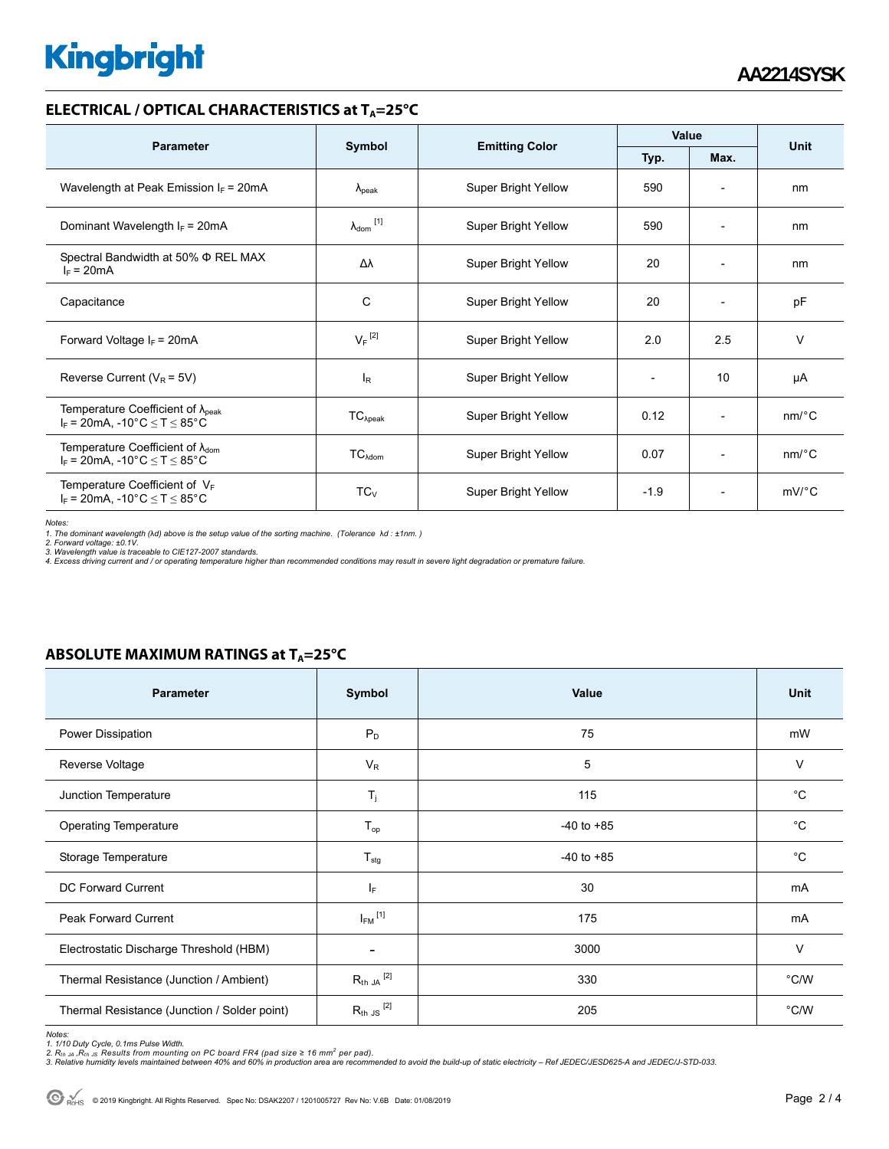# **Kingbright**

### **ELECTRICAL / OPTICAL CHARACTERISTICS at T<sub>A</sub>=25°C**

| <b>Parameter</b>                                                                                                                |                              |                            | Value  |                              |                       |
|---------------------------------------------------------------------------------------------------------------------------------|------------------------------|----------------------------|--------|------------------------------|-----------------------|
|                                                                                                                                 | Symbol                       | <b>Emitting Color</b>      | Typ.   | Max.                         | Unit                  |
| Wavelength at Peak Emission $I_F$ = 20mA                                                                                        | $\lambda_{\rm peak}$         | <b>Super Bright Yellow</b> | 590    | $\overline{\phantom{a}}$     | nm                    |
| Dominant Wavelength $I_F$ = 20mA                                                                                                | $\lambda_{\mathsf{dom}}$ [1] | <b>Super Bright Yellow</b> | 590    |                              | nm                    |
| Spectral Bandwidth at 50% $\Phi$ REL MAX<br>$I_F = 20mA$                                                                        | Δλ                           | <b>Super Bright Yellow</b> | 20     | $\overline{\phantom{a}}$     | nm                    |
| Capacitance                                                                                                                     | С                            | <b>Super Bright Yellow</b> | 20     | $\qquad \qquad \blacksquare$ | pF                    |
| Forward Voltage $I_F$ = 20mA                                                                                                    | $V_F$ <sup>[2]</sup>         | <b>Super Bright Yellow</b> | 2.0    | 2.5                          | $\vee$                |
| Reverse Current ( $V_R$ = 5V)                                                                                                   | $I_R$                        | <b>Super Bright Yellow</b> |        | 10                           | μA                    |
| Temperature Coefficient of $\lambda_{\text{peak}}$<br>$I_F = 20$ mA, -10°C $\le T \le 85$ °C                                    | $TC_{\lambda peak}$          | <b>Super Bright Yellow</b> | 0.12   | $\overline{\phantom{0}}$     | nm/°C                 |
| Temperature Coefficient of $\lambda_{\text{dom}}$<br>$I_F = 20 \text{mA}, -10^{\circ} \text{C} \leq T \leq 85^{\circ} \text{C}$ | $TC_{\lambda dom}$           | <b>Super Bright Yellow</b> | 0.07   | $\qquad \qquad \blacksquare$ | nm/°C                 |
| Temperature Coefficient of $V_F$<br>$I_F$ = 20mA, -10°C $\leq T \leq 85$ °C                                                     | $TC_{V}$                     | <b>Super Bright Yellow</b> | $-1.9$ | $\overline{\phantom{0}}$     | $mV$ <sup>o</sup> $C$ |

*Notes:* 

*1. The dominant wavelength (*λ*d) above is the setup value of the sorting machine. (Tolerance* λ*d : ±1nm. )* 

*2. Forward voltage: ±0.1V. 3. Wavelength value is traceable to CIE127-2007 standards.* 

*4. Excess driving current and / or operating temperature higher than recommended conditions may result in severe light degradation or premature failure.* 

## **ABSOLUTE MAXIMUM RATINGS at T<sub>A</sub>=25°C**

| <b>Parameter</b>                             | Symbol                  | Value          | Unit          |
|----------------------------------------------|-------------------------|----------------|---------------|
| Power Dissipation                            | $P_D$                   | 75             | mW            |
| Reverse Voltage                              | $V_R$                   | 5              | V             |
| Junction Temperature                         | $\mathsf{T}_j$          | 115            | $^{\circ}C$   |
| <b>Operating Temperature</b>                 | $T_{op}$                | $-40$ to $+85$ | $^{\circ}C$   |
| Storage Temperature                          | $T_{\text{stg}}$        | $-40$ to $+85$ | $^{\circ}C$   |
| <b>DC Forward Current</b>                    | IF.                     | 30             | mA            |
| Peak Forward Current                         | $I_{FM}$ <sup>[1]</sup> | 175            | mA            |
| Electrostatic Discharge Threshold (HBM)      | ۰                       | 3000           | $\vee$        |
| Thermal Resistance (Junction / Ambient)      | $R_{th}$ JA $^{[2]}$    | 330            | $\degree$ C/W |
| Thermal Resistance (Junction / Solder point) | $R_{th}$ JS $^{[2]}$    | 205            | $\degree$ C/W |

*Notes:* 

1. 1/10 Duty Cycle, 0.1ms Pulse Width.<br>2. R<sub>th Ju</sub> ,R<sub>h JS</sub> Results from mounting on PC board FR4 (pad size ≥ 16 mm<sup>2</sup> per pad).<br>3. Relative humidity levels maintained between 40% and 60% in production area are recommende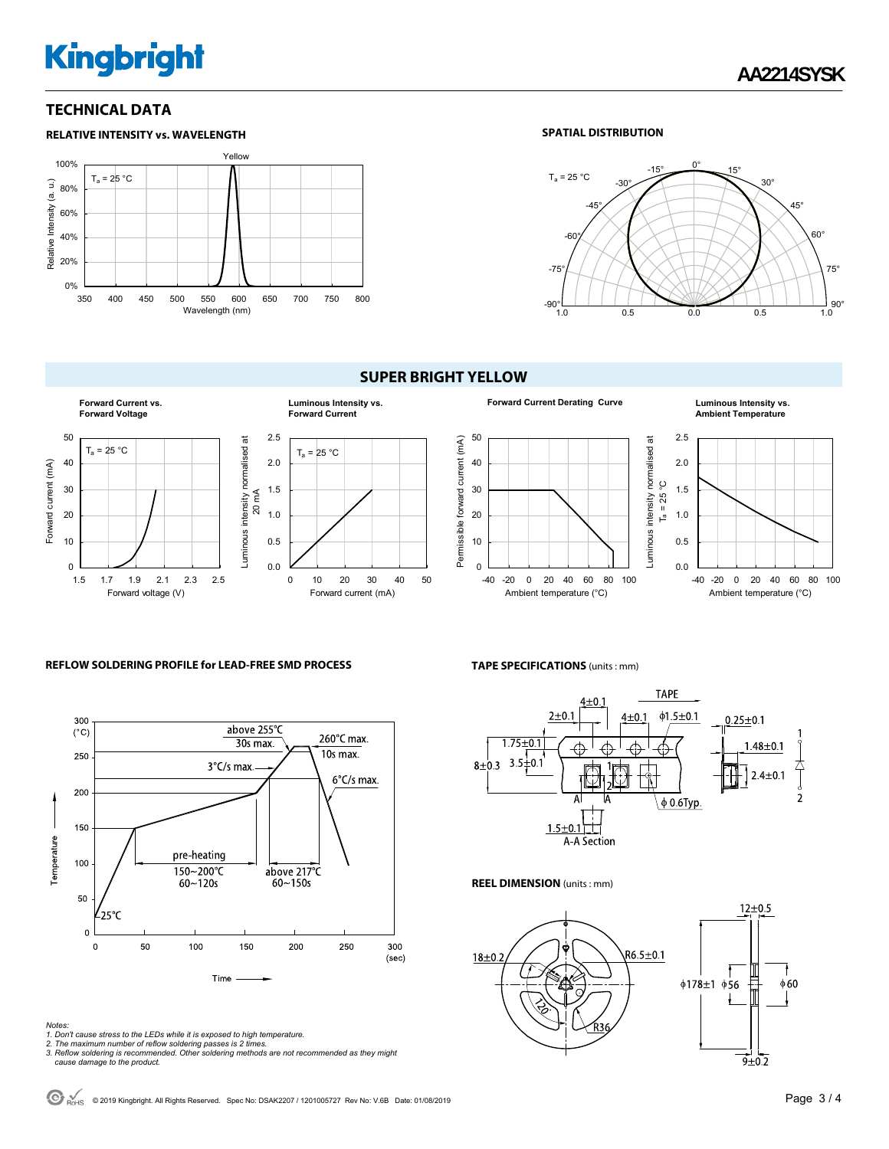# **Kingbright**

## **TECHNICAL DATA**



#### **SPATIAL DISTRIBUTION**



#### **SUPER BRIGHT YELLOW**





# **Ambient Temperature**



#### **REFLOW SOLDERING PROFILE for LEAD-FREE SMD PROCESS**



- 
- 
- Notes:<br>1. Don't cause stress to the LEDs while it is exposed to high temperature.<br>2. The maximum number of reflow soldering passes is 2 times.<br>3. Reflow soldering is recommended. Other soldering methods are not recommended

**TAPE SPECIFICATIONS** (units : mm)



#### **REEL DIMENSION** (units : mm)